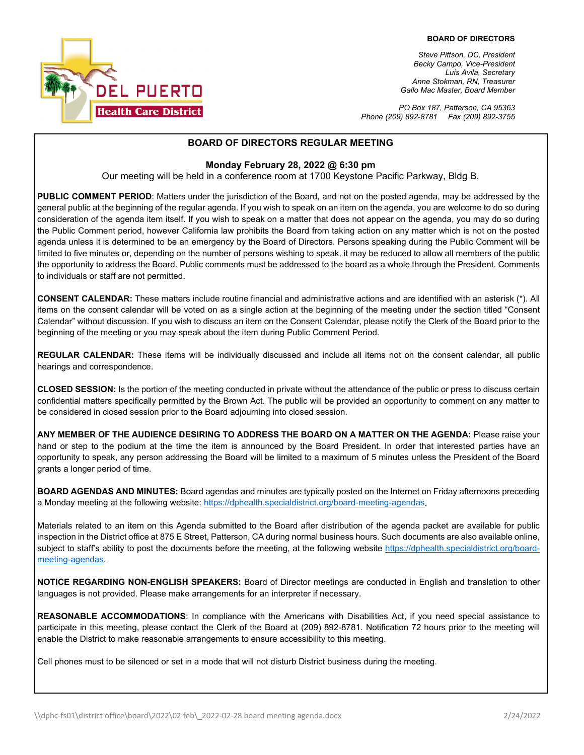

*Steve Pittson, DC, President Becky Campo, Vice-President Luis Avila, Secretary Anne Stokman, RN, Treasurer Gallo Mac Master, Board Member*

*PO Box 187, Patterson, CA 95363 Phone (209) 892-8781 Fax (209) 892-3755*

### **BOARD OF DIRECTORS REGULAR MEETING**

#### **Monday February 28, 2022 @ 6:30 pm**

Our meeting will be held in a conference room at 1700 Keystone Pacific Parkway, Bldg B.

**PUBLIC COMMENT PERIOD**: Matters under the jurisdiction of the Board, and not on the posted agenda, may be addressed by the general public at the beginning of the regular agenda. If you wish to speak on an item on the agenda, you are welcome to do so during consideration of the agenda item itself. If you wish to speak on a matter that does not appear on the agenda, you may do so during the Public Comment period, however California law prohibits the Board from taking action on any matter which is not on the posted agenda unless it is determined to be an emergency by the Board of Directors. Persons speaking during the Public Comment will be limited to five minutes or, depending on the number of persons wishing to speak, it may be reduced to allow all members of the public the opportunity to address the Board. Public comments must be addressed to the board as a whole through the President. Comments to individuals or staff are not permitted.

**CONSENT CALENDAR:** These matters include routine financial and administrative actions and are identified with an asterisk (\*). All items on the consent calendar will be voted on as a single action at the beginning of the meeting under the section titled "Consent Calendar" without discussion. If you wish to discuss an item on the Consent Calendar, please notify the Clerk of the Board prior to the beginning of the meeting or you may speak about the item during Public Comment Period.

**REGULAR CALENDAR:** These items will be individually discussed and include all items not on the consent calendar, all public hearings and correspondence.

**CLOSED SESSION:** Is the portion of the meeting conducted in private without the attendance of the public or press to discuss certain confidential matters specifically permitted by the Brown Act. The public will be provided an opportunity to comment on any matter to be considered in closed session prior to the Board adjourning into closed session.

**ANY MEMBER OF THE AUDIENCE DESIRING TO ADDRESS THE BOARD ON A MATTER ON THE AGENDA:** Please raise your hand or step to the podium at the time the item is announced by the Board President. In order that interested parties have an opportunity to speak, any person addressing the Board will be limited to a maximum of 5 minutes unless the President of the Board grants a longer period of time.

**BOARD AGENDAS AND MINUTES:** Board agendas and minutes are typically posted on the Internet on Friday afternoons preceding a Monday meeting at the following website: [https://dphealth.specialdistrict.org/board-meeting-agendas.](https://dphealth.specialdistrict.org/board-meeting-agendas) 

Materials related to an item on this Agenda submitted to the Board after distribution of the agenda packet are available for public inspection in the District office at 875 E Street, Patterson, CA during normal business hours. Such documents are also available online, subject to staff's ability to post the documents before the meeting, at the following website [https://dphealth.specialdistrict.org/board](https://dphealth.specialdistrict.org/board-meeting-agendas)[meeting-agendas.](https://dphealth.specialdistrict.org/board-meeting-agendas)

**NOTICE REGARDING NON-ENGLISH SPEAKERS:** Board of Director meetings are conducted in English and translation to other languages is not provided. Please make arrangements for an interpreter if necessary.

**REASONABLE ACCOMMODATIONS**: In compliance with the Americans with Disabilities Act, if you need special assistance to participate in this meeting, please contact the Clerk of the Board at (209) 892-8781. Notification 72 hours prior to the meeting will enable the District to make reasonable arrangements to ensure accessibility to this meeting.

Cell phones must to be silenced or set in a mode that will not disturb District business during the meeting.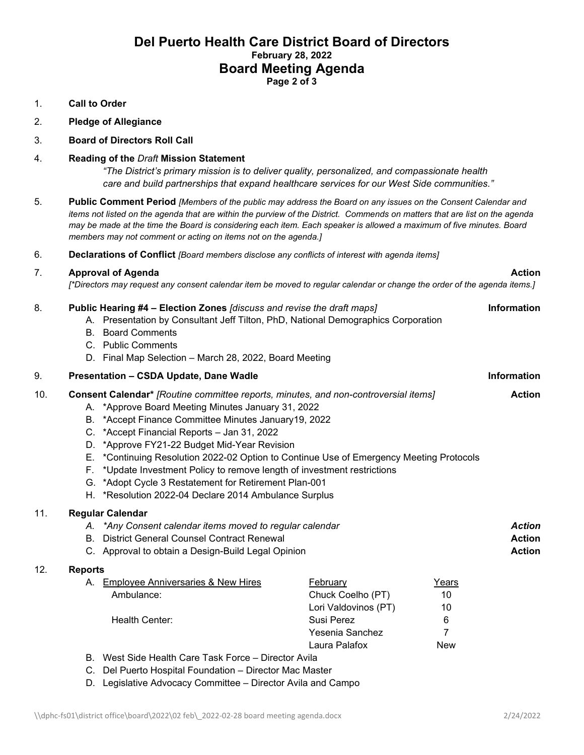# **Del Puerto Health Care District Board of Directors February 28, 2022 Board Meeting Agenda Page 2 of 3**

## 1. **Call to Order**

- 2. **Pledge of Allegiance**
- 3. **Board of Directors Roll Call**

### 4. **Reading of the** *Draft* **Mission Statement**

*"The District's primary mission is to deliver quality, personalized, and compassionate health care and build partnerships that expand healthcare services for our West Side communities."*

- 5. **Public Comment Period** *[Members of the public may address the Board on any issues on the Consent Calendar and items not listed on the agenda that are within the purview of the District. Commends on matters that are list on the agenda may be made at the time the Board is considering each item. Each speaker is allowed a maximum of five minutes. Board members may not comment or acting on items not on the agenda.]*
- 6. **Declarations of Conflict** *[Board members disclose any conflicts of interest with agenda items]*

# 7. **Approval of Agenda Action**

*[\*Directors may request any consent calendar item be moved to regular calendar or change the order of the agenda items.]*

| 8.  |                      | Public Hearing #4 - Election Zones [discuss and revise the draft maps]<br>A. Presentation by Consultant Jeff Tilton, PhD, National Demographics Corporation<br><b>B.</b> Board Comments<br>C. Public Comments<br>D. Final Map Selection - March 28, 2022, Board Meeting                                                                                                                                                                                                                                                                                                               |                                                                                                                |                                           | <b>Information</b> |  |
|-----|----------------------|---------------------------------------------------------------------------------------------------------------------------------------------------------------------------------------------------------------------------------------------------------------------------------------------------------------------------------------------------------------------------------------------------------------------------------------------------------------------------------------------------------------------------------------------------------------------------------------|----------------------------------------------------------------------------------------------------------------|-------------------------------------------|--------------------|--|
| 9.  |                      | Presentation - CSDA Update, Dane Wadle                                                                                                                                                                                                                                                                                                                                                                                                                                                                                                                                                |                                                                                                                | <b>Information</b>                        |                    |  |
| 10. | D.<br>Е.<br>F.<br>G. | <b>Consent Calendar*</b> [Routine committee reports, minutes, and non-controversial items]<br>A. *Approve Board Meeting Minutes January 31, 2022<br>B. *Accept Finance Committee Minutes January19, 2022<br>C. * Accept Financial Reports - Jan 31, 2022<br>*Approve FY21-22 Budget Mid-Year Revision<br>*Continuing Resolution 2022-02 Option to Continue Use of Emergency Meeting Protocols<br>*Update Investment Policy to remove length of investment restrictions<br>*Adopt Cycle 3 Restatement for Retirement Plan-001<br>H. *Resolution 2022-04 Declare 2014 Ambulance Surplus |                                                                                                                |                                           |                    |  |
| 11. |                      | <b>Regular Calendar</b><br>A. *Any Consent calendar items moved to regular calendar<br><b>B.</b> District General Counsel Contract Renewal<br>C. Approval to obtain a Design-Build Legal Opinion                                                                                                                                                                                                                                                                                                                                                                                      |                                                                                                                |                                           |                    |  |
| 12. | <b>Reports</b>       | A. Employee Anniversaries & New Hires<br>Ambulance:<br>Health Center:                                                                                                                                                                                                                                                                                                                                                                                                                                                                                                                 | <b>February</b><br>Chuck Coelho (PT)<br>Lori Valdovinos (PT)<br>Susi Perez<br>Yesenia Sanchez<br>Laura Palafox | Years<br>10<br>10<br>6<br>7<br><b>New</b> |                    |  |
|     |                      | B. West Side Health Care Task Force - Director Avila                                                                                                                                                                                                                                                                                                                                                                                                                                                                                                                                  |                                                                                                                |                                           |                    |  |

- C. Del Puerto Hospital Foundation Director Mac Master
- D. Legislative Advocacy Committee Director Avila and Campo